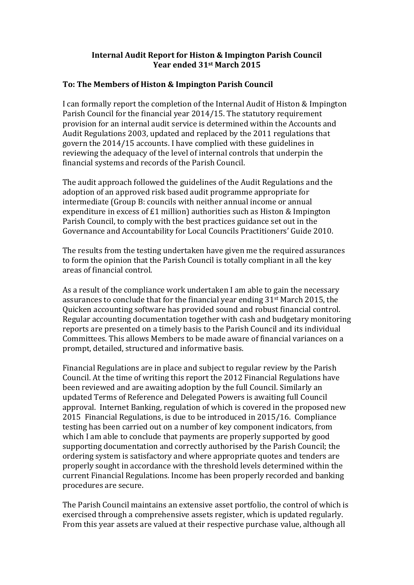## **Internal Audit Report for Histon & Impington Parish Council Year ended 31st March 2015**

## **To: The Members of Histon & Impington Parish Council**

I can formally report the completion of the Internal Audit of Histon & Impington Parish Council for the financial year 2014/15. The statutory requirement provision for an internal audit service is determined within the Accounts and Audit Regulations 2003, updated and replaced by the 2011 regulations that govern the 2014/15 accounts. I have complied with these guidelines in reviewing the adequacy of the level of internal controls that underpin the financial systems and records of the Parish Council.

The audit approach followed the guidelines of the Audit Regulations and the adoption of an approved risk based audit programme appropriate for intermediate (Group B: councils with neither annual income or annual expenditure in excess of £1 million) authorities such as Histon & Impington Parish Council, to comply with the best practices guidance set out in the Governance and Accountability for Local Councils Practitioners' Guide 2010.

The results from the testing undertaken have given me the required assurances to form the opinion that the Parish Council is totally compliant in all the key areas of financial control.

As a result of the compliance work undertaken I am able to gain the necessary assurances to conclude that for the financial year ending 31st March 2015, the Quicken accounting software has provided sound and robust financial control. Regular accounting documentation together with cash and budgetary monitoring reports are presented on a timely basis to the Parish Council and its individual Committees. This allows Members to be made aware of financial variances on a prompt, detailed, structured and informative basis.

Financial Regulations are in place and subject to regular review by the Parish Council. At the time of writing this report the 2012 Financial Regulations have been reviewed and are awaiting adoption by the full Council. Similarly an updated Terms of Reference and Delegated Powers is awaiting full Council approval. Internet Banking, regulation of which is covered in the proposed new 2015 Financial Regulations, is due to be introduced in 2015/16. Compliance testing has been carried out on a number of key component indicators, from which I am able to conclude that payments are properly supported by good supporting documentation and correctly authorised by the Parish Council; the ordering system is satisfactory and where appropriate quotes and tenders are properly sought in accordance with the threshold levels determined within the current Financial Regulations. Income has been properly recorded and banking procedures are secure.

The Parish Council maintains an extensive asset portfolio, the control of which is exercised through a comprehensive assets register, which is updated regularly. From this year assets are valued at their respective purchase value, although all